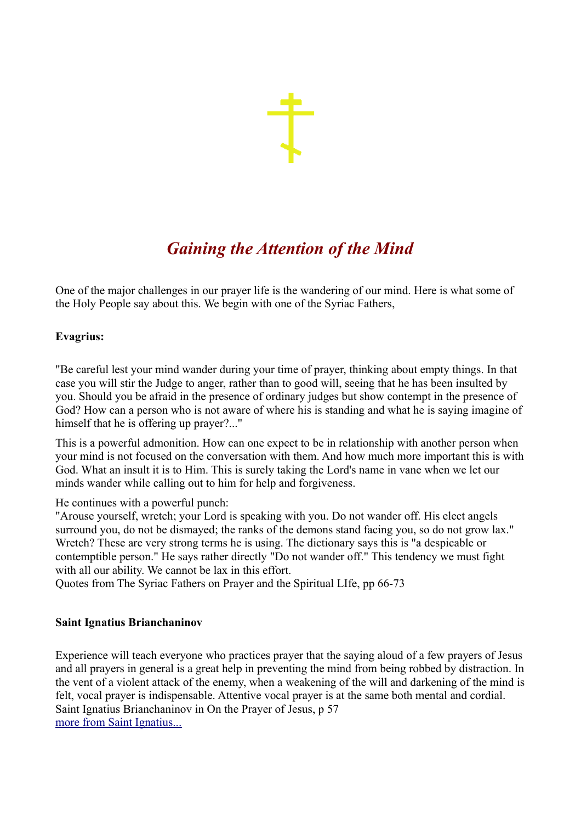

# *Gaining the Attention of the Mind*

One of the major challenges in our prayer life is the wandering of our mind. Here is what some of the Holy People say about this. We begin with one of the Syriac Fathers,

## **Evagrius:**

"Be careful lest your mind wander during your time of prayer, thinking about empty things. In that case you will stir the Judge to anger, rather than to good will, seeing that he has been insulted by you. Should you be afraid in the presence of ordinary judges but show contempt in the presence of God? How can a person who is not aware of where his is standing and what he is saying imagine of himself that he is offering up prayer?..."

This is a powerful admonition. How can one expect to be in relationship with another person when your mind is not focused on the conversation with them. And how much more important this is with God. What an insult it is to Him. This is surely taking the Lord's name in vane when we let our minds wander while calling out to him for help and forgiveness.

He continues with a powerful punch:

"Arouse yourself, wretch; your Lord is speaking with you. Do not wander off. His elect angels surround you, do not be dismayed; the ranks of the demons stand facing you, so do not grow lax." Wretch? These are very strong terms he is using. The dictionary says this is "a despicable or contemptible person." He says rather directly "Do not wander off." This tendency we must fight with all our ability. We cannot be lax in this effort.

Quotes from The Syriac Fathers on Prayer and the Spiritual LIfe, pp 66-73

## **Saint Ignatius Brianchaninov**

Experience will teach everyone who practices prayer that the saying aloud of a few prayers of Jesus and all prayers in general is a great help in preventing the mind from being robbed by distraction. In the vent of a violent attack of the enemy, when a weakening of the will and darkening of the mind is felt, vocal prayer is indispensable. Attentive vocal prayer is at the same both mental and cordial. Saint Ignatius Brianchaninov in On the Prayer of Jesus, p 57 [more from Saint Ignatius...](http://www.orthodoxprayer.org/Articles_files/Brianchaninov-Jesus%20Prayer.html)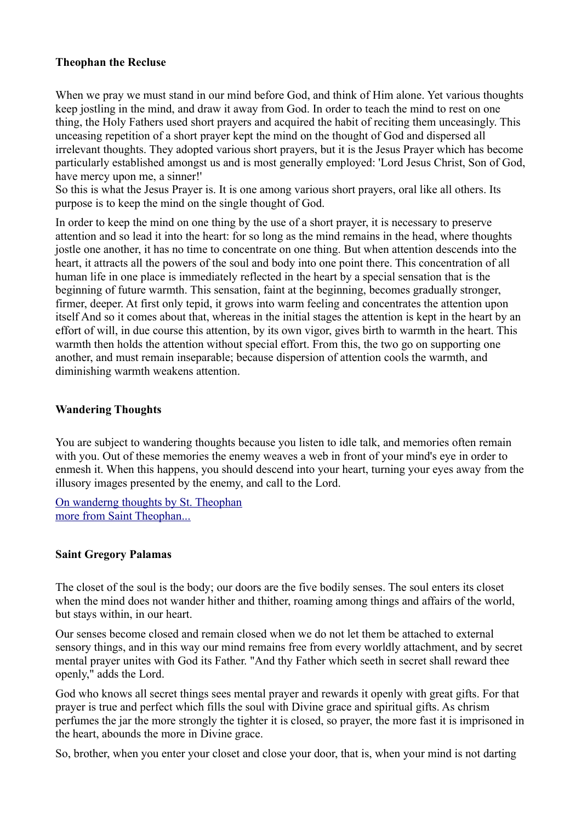## **Theophan the Recluse**

When we pray we must stand in our mind before God, and think of Him alone. Yet various thoughts keep jostling in the mind, and draw it away from God. In order to teach the mind to rest on one thing, the Holy Fathers used short prayers and acquired the habit of reciting them unceasingly. This unceasing repetition of a short prayer kept the mind on the thought of God and dispersed all irrelevant thoughts. They adopted various short prayers, but it is the Jesus Prayer which has become particularly established amongst us and is most generally employed: 'Lord Jesus Christ, Son of God, have mercy upon me, a sinner!'

So this is what the Jesus Prayer is. It is one among various short prayers, oral like all others. Its purpose is to keep the mind on the single thought of God.

In order to keep the mind on one thing by the use of a short prayer, it is necessary to preserve attention and so lead it into the heart: for so long as the mind remains in the head, where thoughts jostle one another, it has no time to concentrate on one thing. But when attention descends into the heart, it attracts all the powers of the soul and body into one point there. This concentration of all human life in one place is immediately reflected in the heart by a special sensation that is the beginning of future warmth. This sensation, faint at the beginning, becomes gradually stronger, firmer, deeper. At first only tepid, it grows into warm feeling and concentrates the attention upon itself And so it comes about that, whereas in the initial stages the attention is kept in the heart by an effort of will, in due course this attention, by its own vigor, gives birth to warmth in the heart. This warmth then holds the attention without special effort. From this, the two go on supporting one another, and must remain inseparable; because dispersion of attention cools the warmth, and diminishing warmth weakens attention.

## **Wandering Thoughts**

You are subject to wandering thoughts because you listen to idle talk, and memories often remain with you. Out of these memories the enemy weaves a web in front of your mind's eye in order to enmesh it. When this happens, you should descend into your heart, turning your eyes away from the illusory images presented by the enemy, and call to the Lord.

[On wanderng thoughts by St. Theophan](http://www.orthodoxprayer.org/Articles_files/Theophan-Wandering%20Thoughts.html) [more from Saint Theophan...](http://www.orthodoxprayer.org/Articles_files/Theophan-Jesus%20Prayer.html)

#### **Saint Gregory Palamas**

The closet of the soul is the body; our doors are the five bodily senses. The soul enters its closet when the mind does not wander hither and thither, roaming among things and affairs of the world, but stays within, in our heart.

Our senses become closed and remain closed when we do not let them be attached to external sensory things, and in this way our mind remains free from every worldly attachment, and by secret mental prayer unites with God its Father. "And thy Father which seeth in secret shall reward thee openly," adds the Lord.

God who knows all secret things sees mental prayer and rewards it openly with great gifts. For that prayer is true and perfect which fills the soul with Divine grace and spiritual gifts. As chrism perfumes the jar the more strongly the tighter it is closed, so prayer, the more fast it is imprisoned in the heart, abounds the more in Divine grace.

So, brother, when you enter your closet and close your door, that is, when your mind is not darting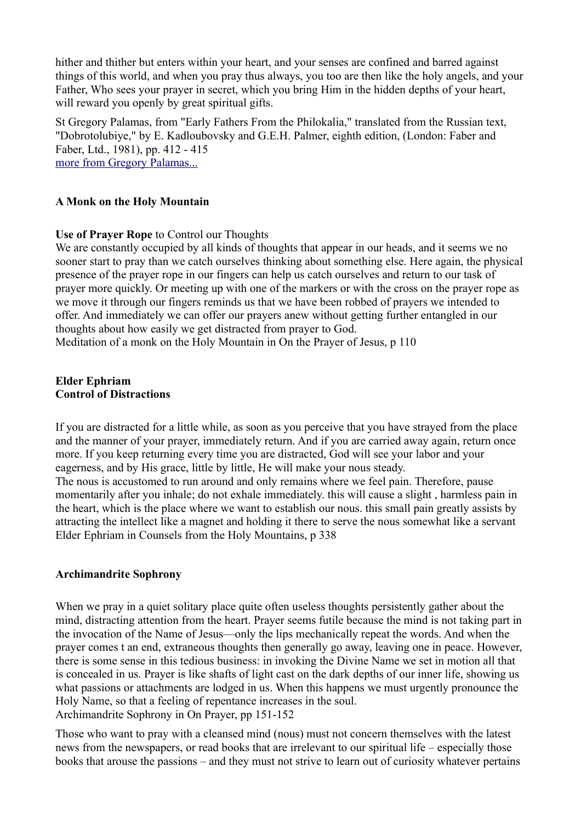hither and thither but enters within your heart, and your senses are confined and barred against things of this world, and when you pray thus always, you too are then like the holy angels, and your Father, Who sees your prayer in secret, which you bring Him in the hidden depths of your heart, will reward you openly by great spiritual gifts.

St Gregory Palamas, from "Early Fathers From the Philokalia," translated from the Russian text, "Dobrotolubiye," by E. Kadloubovsky and G.E.H. Palmer, eighth edition, (London: Faber and Faber, Ltd., 1981), pp. 412 - 415 [more from Gregory Palamas...](http://www.orthodoxprayer.org/Articles_files/Palamas-Pray%20without%20Ceasing.html)

#### **A Monk on the Holy Mountain**

#### **Use of Prayer Rope** to Control our Thoughts

We are constantly occupied by all kinds of thoughts that appear in our heads, and it seems we no sooner start to pray than we catch ourselves thinking about something else. Here again, the physical presence of the prayer rope in our fingers can help us catch ourselves and return to our task of prayer more quickly. Or meeting up with one of the markers or with the cross on the prayer rope as we move it through our fingers reminds us that we have been robbed of prayers we intended to offer. And immediately we can offer our prayers anew without getting further entangled in our thoughts about how easily we get distracted from prayer to God.

Meditation of a monk on the Holy Mountain in On the Prayer of Jesus, p 110

## **Elder Ephriam Control of Distractions**

If you are distracted for a little while, as soon as you perceive that you have strayed from the place and the manner of your prayer, immediately return. And if you are carried away again, return once more. If you keep returning every time you are distracted, God will see your labor and your eagerness, and by His grace, little by little, He will make your nous steady. The nous is accustomed to run around and only remains where we feel pain. Therefore, pause momentarily after you inhale; do not exhale immediately. this will cause a slight , harmless pain in the heart, which is the place where we want to establish our nous. this small pain greatly assists by attracting the intellect like a magnet and holding it there to serve the nous somewhat like a servant Elder Ephriam in Counsels from the Holy Mountains, p 338

#### **Archimandrite Sophrony**

When we pray in a quiet solitary place quite often useless thoughts persistently gather about the mind, distracting attention from the heart. Prayer seems futile because the mind is not taking part in the invocation of the Name of Jesus––only the lips mechanically repeat the words. And when the prayer comes t an end, extraneous thoughts then generally go away, leaving one in peace. However, there is some sense in this tedious business: in invoking the Divine Name we set in motion all that is concealed in us. Prayer is like shafts of light cast on the dark depths of our inner life, showing us what passions or attachments are lodged in us. When this happens we must urgently pronounce the Holy Name, so that a feeling of repentance increases in the soul. Archimandrite Sophrony in On Prayer, pp 151-152

Those who want to pray with a cleansed mind (nous) must not concern themselves with the latest news from the newspapers, or read books that are irrelevant to our spiritual life – especially those books that arouse the passions – and they must not strive to learn out of curiosity whatever pertains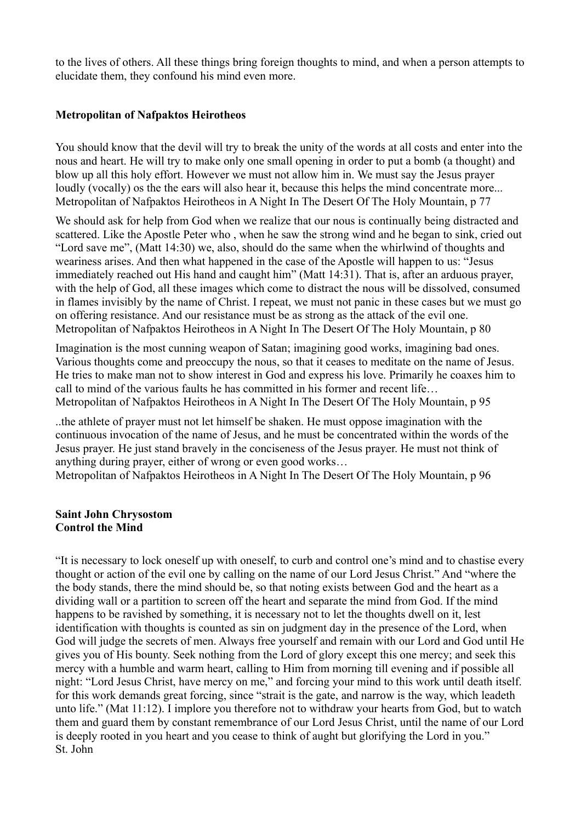to the lives of others. All these things bring foreign thoughts to mind, and when a person attempts to elucidate them, they confound his mind even more.

## **Metropolitan of Nafpaktos Heirotheos**

You should know that the devil will try to break the unity of the words at all costs and enter into the nous and heart. He will try to make only one small opening in order to put a bomb (a thought) and blow up all this holy effort. However we must not allow him in. We must say the Jesus prayer loudly (vocally) os the the ears will also hear it, because this helps the mind concentrate more... Metropolitan of Nafpaktos Heirotheos in A Night In The Desert Of The Holy Mountain, p 77

We should ask for help from God when we realize that our nous is continually being distracted and scattered. Like the Apostle Peter who , when he saw the strong wind and he began to sink, cried out "Lord save me", (Matt 14:30) we, also, should do the same when the whirlwind of thoughts and weariness arises. And then what happened in the case of the Apostle will happen to us: "Jesus immediately reached out His hand and caught him" (Matt 14:31). That is, after an arduous prayer, with the help of God, all these images which come to distract the nous will be dissolved, consumed in flames invisibly by the name of Christ. I repeat, we must not panic in these cases but we must go on offering resistance. And our resistance must be as strong as the attack of the evil one. Metropolitan of Nafpaktos Heirotheos in A Night In The Desert Of The Holy Mountain, p 80

Imagination is the most cunning weapon of Satan; imagining good works, imagining bad ones. Various thoughts come and preoccupy the nous, so that it ceases to meditate on the name of Jesus. He tries to make man not to show interest in God and express his love. Primarily he coaxes him to call to mind of the various faults he has committed in his former and recent life… Metropolitan of Nafpaktos Heirotheos in A Night In The Desert Of The Holy Mountain, p 95

..the athlete of prayer must not let himself be shaken. He must oppose imagination with the continuous invocation of the name of Jesus, and he must be concentrated within the words of the Jesus prayer. He just stand bravely in the conciseness of the Jesus prayer. He must not think of anything during prayer, either of wrong or even good works…

Metropolitan of Nafpaktos Heirotheos in A Night In The Desert Of The Holy Mountain, p 96

#### **Saint John Chrysostom Control the Mind**

"It is necessary to lock oneself up with oneself, to curb and control one's mind and to chastise every thought or action of the evil one by calling on the name of our Lord Jesus Christ." And "where the the body stands, there the mind should be, so that noting exists between God and the heart as a dividing wall or a partition to screen off the heart and separate the mind from God. If the mind happens to be ravished by something, it is necessary not to let the thoughts dwell on it, lest identification with thoughts is counted as sin on judgment day in the presence of the Lord, when God will judge the secrets of men. Always free yourself and remain with our Lord and God until He gives you of His bounty. Seek nothing from the Lord of glory except this one mercy; and seek this mercy with a humble and warm heart, calling to Him from morning till evening and if possible all night: "Lord Jesus Christ, have mercy on me," and forcing your mind to this work until death itself. for this work demands great forcing, since "strait is the gate, and narrow is the way, which leadeth unto life." (Mat 11:12). I implore you therefore not to withdraw your hearts from God, but to watch them and guard them by constant remembrance of our Lord Jesus Christ, until the name of our Lord is deeply rooted in you heart and you cease to think of aught but glorifying the Lord in you." St. John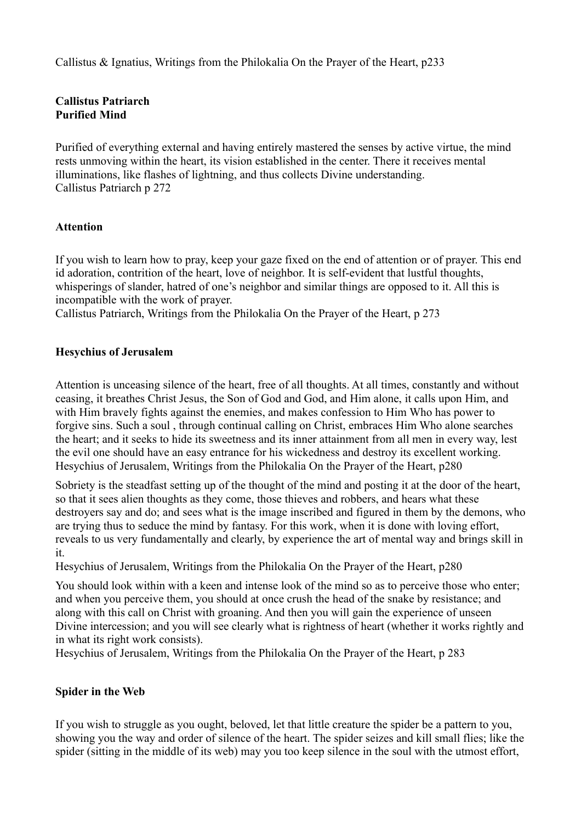Callistus & Ignatius, Writings from the Philokalia On the Prayer of the Heart, p233

## **Callistus Patriarch Purified Mind**

Purified of everything external and having entirely mastered the senses by active virtue, the mind rests unmoving within the heart, its vision established in the center. There it receives mental illuminations, like flashes of lightning, and thus collects Divine understanding. Callistus Patriarch p 272

## **Attention**

If you wish to learn how to pray, keep your gaze fixed on the end of attention or of prayer. This end id adoration, contrition of the heart, love of neighbor. It is self-evident that lustful thoughts, whisperings of slander, hatred of one's neighbor and similar things are opposed to it. All this is incompatible with the work of prayer.

Callistus Patriarch, Writings from the Philokalia On the Prayer of the Heart, p 273

## **Hesychius of Jerusalem**

Attention is unceasing silence of the heart, free of all thoughts. At all times, constantly and without ceasing, it breathes Christ Jesus, the Son of God and God, and Him alone, it calls upon Him, and with Him bravely fights against the enemies, and makes confession to Him Who has power to forgive sins. Such a soul , through continual calling on Christ, embraces Him Who alone searches the heart; and it seeks to hide its sweetness and its inner attainment from all men in every way, lest the evil one should have an easy entrance for his wickedness and destroy its excellent working. Hesychius of Jerusalem, Writings from the Philokalia On the Prayer of the Heart, p280

Sobriety is the steadfast setting up of the thought of the mind and posting it at the door of the heart, so that it sees alien thoughts as they come, those thieves and robbers, and hears what these destroyers say and do; and sees what is the image inscribed and figured in them by the demons, who are trying thus to seduce the mind by fantasy. For this work, when it is done with loving effort, reveals to us very fundamentally and clearly, by experience the art of mental way and brings skill in it.

Hesychius of Jerusalem, Writings from the Philokalia On the Prayer of the Heart, p280

You should look within with a keen and intense look of the mind so as to perceive those who enter; and when you perceive them, you should at once crush the head of the snake by resistance; and along with this call on Christ with groaning. And then you will gain the experience of unseen Divine intercession; and you will see clearly what is rightness of heart (whether it works rightly and in what its right work consists).

Hesychius of Jerusalem, Writings from the Philokalia On the Prayer of the Heart, p 283

## **Spider in the Web**

If you wish to struggle as you ought, beloved, let that little creature the spider be a pattern to you, showing you the way and order of silence of the heart. The spider seizes and kill small flies; like the spider (sitting in the middle of its web) may you too keep silence in the soul with the utmost effort,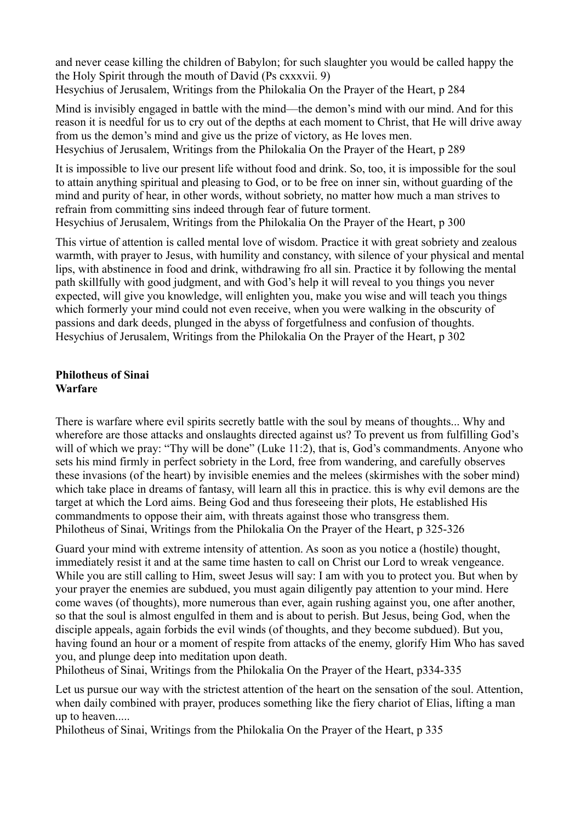and never cease killing the children of Babylon; for such slaughter you would be called happy the the Holy Spirit through the mouth of David (Ps cxxxvii. 9) Hesychius of Jerusalem, Writings from the Philokalia On the Prayer of the Heart, p 284

Mind is invisibly engaged in battle with the mind––the demon's mind with our mind. And for this reason it is needful for us to cry out of the depths at each moment to Christ, that He will drive away from us the demon's mind and give us the prize of victory, as He loves men. Hesychius of Jerusalem, Writings from the Philokalia On the Prayer of the Heart, p 289

It is impossible to live our present life without food and drink. So, too, it is impossible for the soul to attain anything spiritual and pleasing to God, or to be free on inner sin, without guarding of the mind and purity of hear, in other words, without sobriety, no matter how much a man strives to refrain from committing sins indeed through fear of future torment. Hesychius of Jerusalem, Writings from the Philokalia On the Prayer of the Heart, p 300

This virtue of attention is called mental love of wisdom. Practice it with great sobriety and zealous warmth, with prayer to Jesus, with humility and constancy, with silence of your physical and mental lips, with abstinence in food and drink, withdrawing fro all sin. Practice it by following the mental path skillfully with good judgment, and with God's help it will reveal to you things you never expected, will give you knowledge, will enlighten you, make you wise and will teach you things which formerly your mind could not even receive, when you were walking in the obscurity of passions and dark deeds, plunged in the abyss of forgetfulness and confusion of thoughts. Hesychius of Jerusalem, Writings from the Philokalia On the Prayer of the Heart, p 302

## **Philotheus of Sinai Warfare**

There is warfare where evil spirits secretly battle with the soul by means of thoughts... Why and wherefore are those attacks and onslaughts directed against us? To prevent us from fulfilling God's will of which we pray: "Thy will be done" (Luke 11:2), that is, God's commandments. Anyone who sets his mind firmly in perfect sobriety in the Lord, free from wandering, and carefully observes these invasions (of the heart) by invisible enemies and the melees (skirmishes with the sober mind) which take place in dreams of fantasy, will learn all this in practice. this is why evil demons are the target at which the Lord aims. Being God and thus foreseeing their plots, He established His commandments to oppose their aim, with threats against those who transgress them. Philotheus of Sinai, Writings from the Philokalia On the Prayer of the Heart, p 325-326

Guard your mind with extreme intensity of attention. As soon as you notice a (hostile) thought, immediately resist it and at the same time hasten to call on Christ our Lord to wreak vengeance. While you are still calling to Him, sweet Jesus will say: I am with you to protect you. But when by your prayer the enemies are subdued, you must again diligently pay attention to your mind. Here come waves (of thoughts), more numerous than ever, again rushing against you, one after another, so that the soul is almost engulfed in them and is about to perish. But Jesus, being God, when the disciple appeals, again forbids the evil winds (of thoughts, and they become subdued). But you, having found an hour or a moment of respite from attacks of the enemy, glorify Him Who has saved you, and plunge deep into meditation upon death.

Philotheus of Sinai, Writings from the Philokalia On the Prayer of the Heart, p334-335

Let us pursue our way with the strictest attention of the heart on the sensation of the soul. Attention, when daily combined with prayer, produces something like the fiery chariot of Elias, lifting a man up to heaven.....

Philotheus of Sinai, Writings from the Philokalia On the Prayer of the Heart, p 335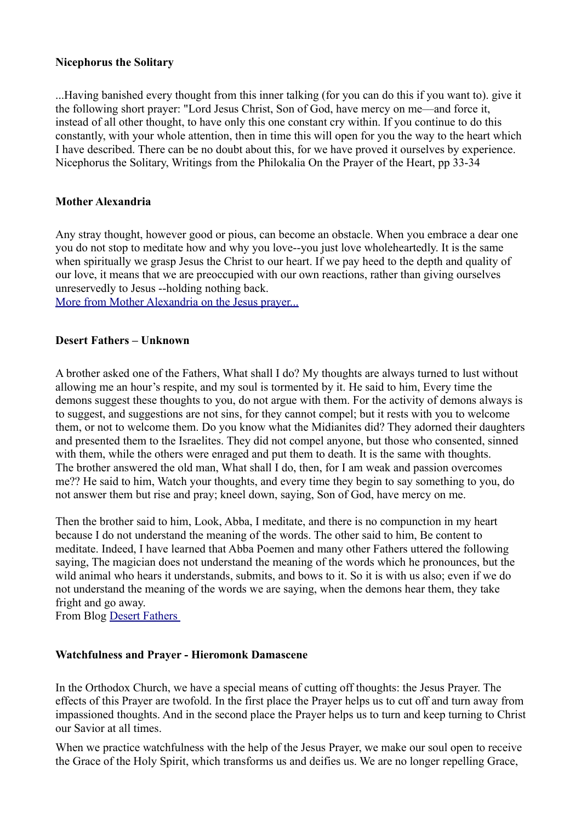#### **Nicephorus the Solitary**

...Having banished every thought from this inner talking (for you can do this if you want to). give it the following short prayer: "Lord Jesus Christ, Son of God, have mercy on me––and force it, instead of all other thought, to have only this one constant cry within. If you continue to do this constantly, with your whole attention, then in time this will open for you the way to the heart which I have described. There can be no doubt about this, for we have proved it ourselves by experience. Nicephorus the Solitary, Writings from the Philokalia On the Prayer of the Heart, pp 33-34

## **Mother Alexandria**

Any stray thought, however good or pious, can become an obstacle. When you embrace a dear one you do not stop to meditate how and why you love--you just love wholeheartedly. It is the same when spiritually we grasp Jesus the Christ to our heart. If we pay heed to the depth and quality of our love, it means that we are preoccupied with our own reactions, rather than giving ourselves unreservedly to Jesus --holding nothing back.

[More from Mother Alexandria on the Jesus prayer...](http://www.orthodoxprayer.org/Articles_files/Mother%20Alexandra-Jesus%20Prayer.html)

#### **Desert Fathers – Unknown**

A brother asked one of the Fathers, What shall I do? My thoughts are always turned to lust without allowing me an hour's respite, and my soul is tormented by it. He said to him, Every time the demons suggest these thoughts to you, do not argue with them. For the activity of demons always is to suggest, and suggestions are not sins, for they cannot compel; but it rests with you to welcome them, or not to welcome them. Do you know what the Midianites did? They adorned their daughters and presented them to the Israelites. They did not compel anyone, but those who consented, sinned with them, while the others were enraged and put them to death. It is the same with thoughts. The brother answered the old man, What shall I do, then, for I am weak and passion overcomes me?? He said to him, Watch your thoughts, and every time they begin to say something to you, do not answer them but rise and pray; kneel down, saying, Son of God, have mercy on me.

Then the brother said to him, Look, Abba, I meditate, and there is no compunction in my heart because I do not understand the meaning of the words. The other said to him, Be content to meditate. Indeed, I have learned that Abba Poemen and many other Fathers uttered the following saying, The magician does not understand the meaning of the words which he pronounces, but the wild animal who hears it understands, submits, and bows to it. So it is with us also; even if we do not understand the meaning of the words we are saying, when the demons hear them, they take fright and go away.

From Blog [Desert Fathers](http://orthodoxfathers.org/prayer-and-meditation.htm) 

#### **Watchfulness and Prayer - Hieromonk Damascene**

In the Orthodox Church, we have a special means of cutting off thoughts: the Jesus Prayer. The effects of this Prayer are twofold. In the first place the Prayer helps us to cut off and turn away from impassioned thoughts. And in the second place the Prayer helps us to turn and keep turning to Christ our Savior at all times.

When we practice watchfulness with the help of the Jesus Prayer, we make our soul open to receive the Grace of the Holy Spirit, which transforms us and deifies us. We are no longer repelling Grace,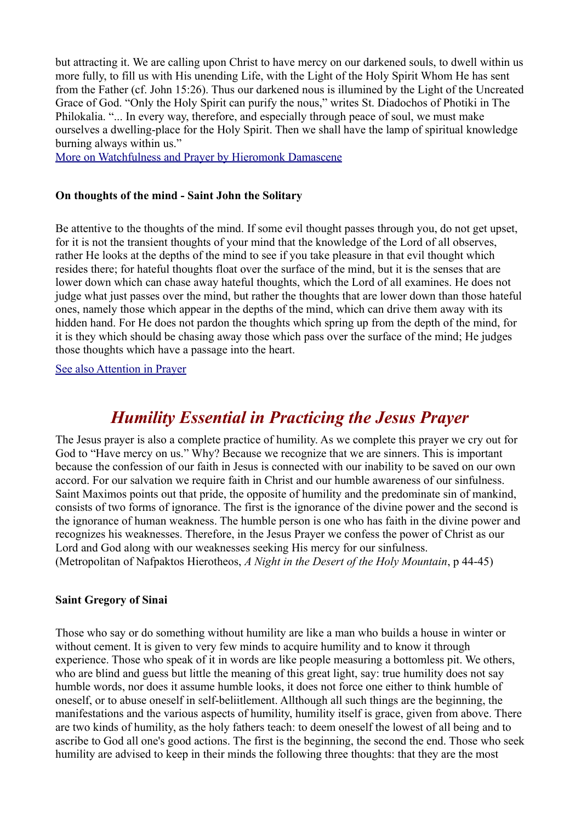but attracting it. We are calling upon Christ to have mercy on our darkened souls, to dwell within us more fully, to fill us with His unending Life, with the Light of the Holy Spirit Whom He has sent from the Father (cf. John 15:26). Thus our darkened nous is illumined by the Light of the Uncreated Grace of God. "Only the Holy Spirit can purify the nous," writes St. Diadochos of Photiki in The Philokalia. "... In every way, therefore, and especially through peace of soul, we must make ourselves a dwelling-place for the Holy Spirit. Then we shall have the lamp of spiritual knowledge burning always within us."

[More on Watchfulness and Prayer by Hieromonk Damascene](http://www.orthodoxprayer.org/Articles_files/Damascene-Watchfulness%20&%20Prayer.html)

#### **On thoughts of the mind - Saint John the Solitary**

Be attentive to the thoughts of the mind. If some evil thought passes through you, do not get upset, for it is not the transient thoughts of your mind that the knowledge of the Lord of all observes, rather He looks at the depths of the mind to see if you take pleasure in that evil thought which resides there; for hateful thoughts float over the surface of the mind, but it is the senses that are lower down which can chase away hateful thoughts, which the Lord of all examines. He does not judge what just passes over the mind, but rather the thoughts that are lower down than those hateful ones, namely those which appear in the depths of the mind, which can drive them away with its hidden hand. For He does not pardon the thoughts which spring up from the depth of the mind, for it is they which should be chasing away those which pass over the surface of the mind; He judges those thoughts which have a passage into the heart.

#### [See also Attention in Prayer](http://www.orthodoxprayer.org/Attention%20in%20Prayer.html)

## *Humility Essential in Practicing the Jesus Prayer*

The Jesus prayer is also a complete practice of humility. As we complete this prayer we cry out for God to "Have mercy on us." Why? Because we recognize that we are sinners. This is important because the confession of our faith in Jesus is connected with our inability to be saved on our own accord. For our salvation we require faith in Christ and our humble awareness of our sinfulness. Saint Maximos points out that pride, the opposite of humility and the predominate sin of mankind, consists of two forms of ignorance. The first is the ignorance of the divine power and the second is the ignorance of human weakness. The humble person is one who has faith in the divine power and recognizes his weaknesses. Therefore, in the Jesus Prayer we confess the power of Christ as our Lord and God along with our weaknesses seeking His mercy for our sinfulness. (Metropolitan of Nafpaktos Hierotheos, *A Night in the Desert of the Holy Mountain*, p 44-45)

#### **Saint Gregory of Sinai**

Those who say or do something without humility are like a man who builds a house in winter or without cement. It is given to very few minds to acquire humility and to know it through experience. Those who speak of it in words are like people measuring a bottomless pit. We others, who are blind and guess but little the meaning of this great light, say: true humility does not say humble words, nor does it assume humble looks, it does not force one either to think humble of oneself, or to abuse oneself in self-beliitlement. Allthough all such things are the beginning, the manifestations and the various aspects of humility, humility itself is grace, given from above. There are two kinds of humility, as the holy fathers teach: to deem oneself the lowest of all being and to ascribe to God all one's good actions. The first is the beginning, the second the end. Those who seek humility are advised to keep in their minds the following three thoughts: that they are the most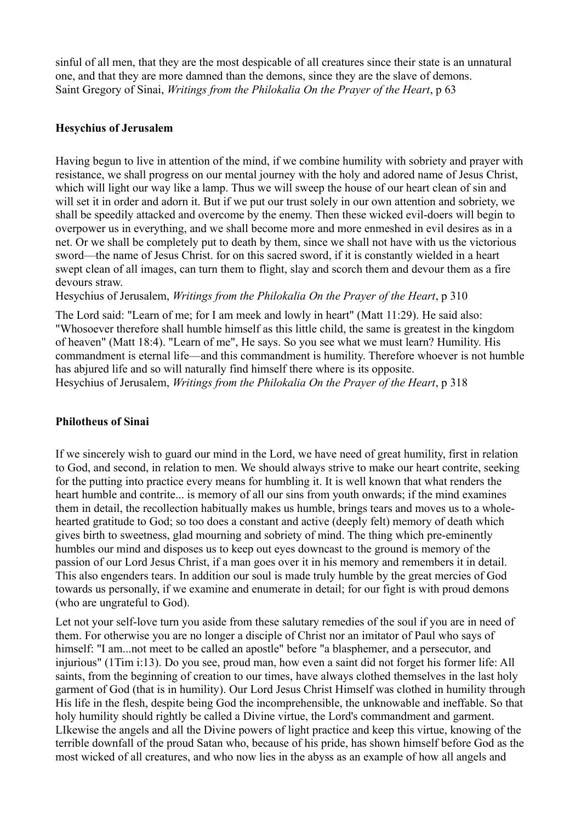sinful of all men, that they are the most despicable of all creatures since their state is an unnatural one, and that they are more damned than the demons, since they are the slave of demons. Saint Gregory of Sinai, *Writings from the Philokalia On the Prayer of the Heart*, p 63

## **Hesychius of Jerusalem**

Having begun to live in attention of the mind, if we combine humility with sobriety and prayer with resistance, we shall progress on our mental journey with the holy and adored name of Jesus Christ, which will light our way like a lamp. Thus we will sweep the house of our heart clean of sin and will set it in order and adorn it. But if we put our trust solely in our own attention and sobriety, we shall be speedily attacked and overcome by the enemy. Then these wicked evil-doers will begin to overpower us in everything, and we shall become more and more enmeshed in evil desires as in a net. Or we shall be completely put to death by them, since we shall not have with us the victorious sword––the name of Jesus Christ. for on this sacred sword, if it is constantly wielded in a heart swept clean of all images, can turn them to flight, slay and scorch them and devour them as a fire devours straw.

Hesychius of Jerusalem, *Writings from the Philokalia On the Prayer of the Heart*, p 310

The Lord said: "Learn of me; for I am meek and lowly in heart" (Matt 11:29). He said also: "Whosoever therefore shall humble himself as this little child, the same is greatest in the kingdom of heaven" (Matt 18:4). "Learn of me", He says. So you see what we must learn? Humility. His commandment is eternal life––and this commandment is humility. Therefore whoever is not humble has abjured life and so will naturally find himself there where is its opposite. Hesychius of Jerusalem, *Writings from the Philokalia On the Prayer of the Heart*, p 318

## **Philotheus of Sinai**

If we sincerely wish to guard our mind in the Lord, we have need of great humility, first in relation to God, and second, in relation to men. We should always strive to make our heart contrite, seeking for the putting into practice every means for humbling it. It is well known that what renders the heart humble and contrite... is memory of all our sins from youth onwards; if the mind examines them in detail, the recollection habitually makes us humble, brings tears and moves us to a wholehearted gratitude to God; so too does a constant and active (deeply felt) memory of death which gives birth to sweetness, glad mourning and sobriety of mind. The thing which pre-eminently humbles our mind and disposes us to keep out eyes downcast to the ground is memory of the passion of our Lord Jesus Christ, if a man goes over it in his memory and remembers it in detail. This also engenders tears. In addition our soul is made truly humble by the great mercies of God towards us personally, if we examine and enumerate in detail; for our fight is with proud demons (who are ungrateful to God).

Let not your self-love turn you aside from these salutary remedies of the soul if you are in need of them. For otherwise you are no longer a disciple of Christ nor an imitator of Paul who says of himself: "I am...not meet to be called an apostle" before "a blasphemer, and a persecutor, and injurious" (1Tim i:13). Do you see, proud man, how even a saint did not forget his former life: All saints, from the beginning of creation to our times, have always clothed themselves in the last holy garment of God (that is in humility). Our Lord Jesus Christ Himself was clothed in humility through His life in the flesh, despite being God the incomprehensible, the unknowable and ineffable. So that holy humility should rightly be called a Divine virtue, the Lord's commandment and garment. LIkewise the angels and all the Divine powers of light practice and keep this virtue, knowing of the terrible downfall of the proud Satan who, because of his pride, has shown himself before God as the most wicked of all creatures, and who now lies in the abyss as an example of how all angels and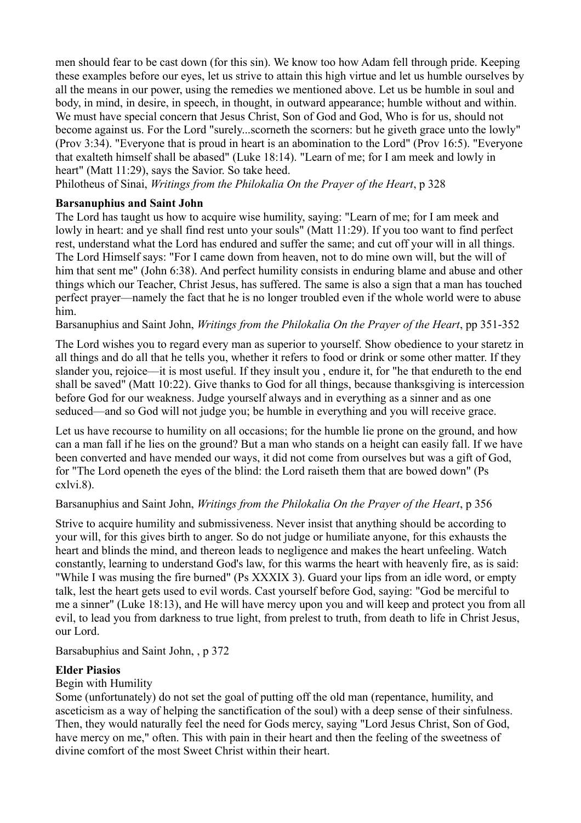men should fear to be cast down (for this sin). We know too how Adam fell through pride. Keeping these examples before our eyes, let us strive to attain this high virtue and let us humble ourselves by all the means in our power, using the remedies we mentioned above. Let us be humble in soul and body, in mind, in desire, in speech, in thought, in outward appearance; humble without and within. We must have special concern that Jesus Christ, Son of God and God, Who is for us, should not become against us. For the Lord "surely...scorneth the scorners: but he giveth grace unto the lowly" (Prov 3:34). "Everyone that is proud in heart is an abomination to the Lord" (Prov 16:5). "Everyone that exalteth himself shall be abased" (Luke 18:14). "Learn of me; for I am meek and lowly in heart" (Matt 11:29), says the Savior. So take heed.

Philotheus of Sinai, *Writings from the Philokalia On the Prayer of the Heart*, p 328

## **Barsanuphius and Saint John**

The Lord has taught us how to acquire wise humility, saying: "Learn of me; for I am meek and lowly in heart: and ye shall find rest unto your souls" (Matt 11:29). If you too want to find perfect rest, understand what the Lord has endured and suffer the same; and cut off your will in all things. The Lord Himself says: "For I came down from heaven, not to do mine own will, but the will of him that sent me" (John 6:38). And perfect humility consists in enduring blame and abuse and other things which our Teacher, Christ Jesus, has suffered. The same is also a sign that a man has touched perfect prayer––namely the fact that he is no longer troubled even if the whole world were to abuse him.

Barsanuphius and Saint John, *Writings from the Philokalia On the Prayer of the Heart*, pp 351-352

The Lord wishes you to regard every man as superior to yourself. Show obedience to your staretz in all things and do all that he tells you, whether it refers to food or drink or some other matter. If they slander you, rejoice—it is most useful. If they insult you, endure it, for "he that endureth to the end shall be saved" (Matt 10:22). Give thanks to God for all things, because thanksgiving is intercession before God for our weakness. Judge yourself always and in everything as a sinner and as one seduced––and so God will not judge you; be humble in everything and you will receive grace.

Let us have recourse to humility on all occasions; for the humble lie prone on the ground, and how can a man fall if he lies on the ground? But a man who stands on a height can easily fall. If we have been converted and have mended our ways, it did not come from ourselves but was a gift of God, for "The Lord openeth the eyes of the blind: the Lord raiseth them that are bowed down" (Ps cxlvi.8).

## Barsanuphius and Saint John, *Writings from the Philokalia On the Prayer of the Heart*, p 356

Strive to acquire humility and submissiveness. Never insist that anything should be according to your will, for this gives birth to anger. So do not judge or humiliate anyone, for this exhausts the heart and blinds the mind, and thereon leads to negligence and makes the heart unfeeling. Watch constantly, learning to understand God's law, for this warms the heart with heavenly fire, as is said: "While I was musing the fire burned" (Ps XXXIX 3). Guard your lips from an idle word, or empty talk, lest the heart gets used to evil words. Cast yourself before God, saying: "God be merciful to me a sinner" (Luke 18:13), and He will have mercy upon you and will keep and protect you from all evil, to lead you from darkness to true light, from prelest to truth, from death to life in Christ Jesus, our Lord.

Barsabuphius and Saint John, , p 372

## **Elder Piasios**

Begin with Humility

Some (unfortunately) do not set the goal of putting off the old man (repentance, humility, and asceticism as a way of helping the sanctification of the soul) with a deep sense of their sinfulness. Then, they would naturally feel the need for Gods mercy, saying "Lord Jesus Christ, Son of God, have mercy on me," often. This with pain in their heart and then the feeling of the sweetness of divine comfort of the most Sweet Christ within their heart.